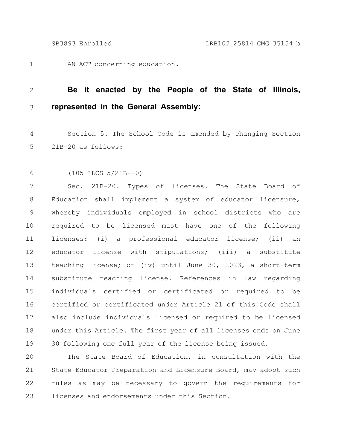AN ACT concerning education. 1

## **Be it enacted by the People of the State of Illinois, represented in the General Assembly:** 2 3

Section 5. The School Code is amended by changing Section 21B-20 as follows: 4 5

(105 ILCS 5/21B-20) 6

Sec. 21B-20. Types of licenses. The State Board of Education shall implement a system of educator licensure, whereby individuals employed in school districts who are required to be licensed must have one of the following licenses: (i) a professional educator license; (ii) an educator license with stipulations; (iii) a substitute teaching license; or (iv) until June 30, 2023, a short-term substitute teaching license. References in law regarding individuals certified or certificated or required to be certified or certificated under Article 21 of this Code shall also include individuals licensed or required to be licensed under this Article. The first year of all licenses ends on June 30 following one full year of the license being issued. 7 8 9 10 11 12 13 14 15 16 17 18 19

The State Board of Education, in consultation with the State Educator Preparation and Licensure Board, may adopt such rules as may be necessary to govern the requirements for licenses and endorsements under this Section. 20 21 22 23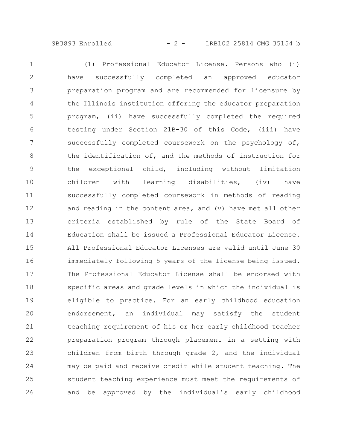## SB3893 Enrolled - 2 - LRB102 25814 CMG 35154 b

(1) Professional Educator License. Persons who (i) have successfully completed an approved educator preparation program and are recommended for licensure by the Illinois institution offering the educator preparation program, (ii) have successfully completed the required testing under Section 21B-30 of this Code, (iii) have successfully completed coursework on the psychology of, the identification of, and the methods of instruction for the exceptional child, including without limitation children with learning disabilities, (iv) have successfully completed coursework in methods of reading and reading in the content area, and (v) have met all other criteria established by rule of the State Board of Education shall be issued a Professional Educator License. All Professional Educator Licenses are valid until June 30 immediately following 5 years of the license being issued. The Professional Educator License shall be endorsed with specific areas and grade levels in which the individual is eligible to practice. For an early childhood education endorsement, an individual may satisfy the student teaching requirement of his or her early childhood teacher preparation program through placement in a setting with children from birth through grade 2, and the individual may be paid and receive credit while student teaching. The student teaching experience must meet the requirements of and be approved by the individual's early childhood 1 2 3 4 5 6 7 8 9 10 11 12 13 14 15 16 17 18 19 20 21 22 23 24 25 26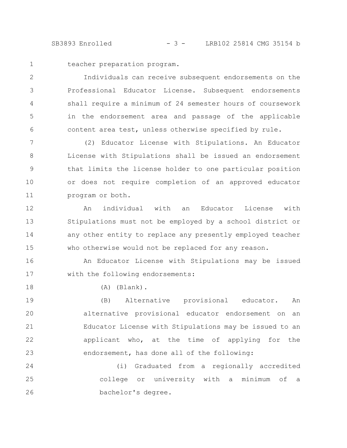SB3893 Enrolled - 3 - LRB102 25814 CMG 35154 b

1

18

teacher preparation program.

Individuals can receive subsequent endorsements on the Professional Educator License. Subsequent endorsements shall require a minimum of 24 semester hours of coursework in the endorsement area and passage of the applicable content area test, unless otherwise specified by rule. 2 3 4 5 6

(2) Educator License with Stipulations. An Educator License with Stipulations shall be issued an endorsement that limits the license holder to one particular position or does not require completion of an approved educator program or both. 7 8 9 10 11

An individual with an Educator License with Stipulations must not be employed by a school district or any other entity to replace any presently employed teacher who otherwise would not be replaced for any reason. 12 13 14 15

An Educator License with Stipulations may be issued with the following endorsements: 16 17

(A) (Blank).

(B) Alternative provisional educator. An alternative provisional educator endorsement on an Educator License with Stipulations may be issued to an applicant who, at the time of applying for the endorsement, has done all of the following: 19 20 21 22 23

(i) Graduated from a regionally accredited college or university with a minimum of a bachelor's degree. 24 25 26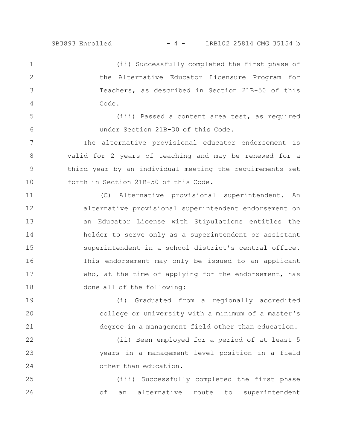5

6

(ii) Successfully completed the first phase of the Alternative Educator Licensure Program for Teachers, as described in Section 21B-50 of this Code. 1 2 3 4

(iii) Passed a content area test, as required under Section 21B-30 of this Code.

The alternative provisional educator endorsement is valid for 2 years of teaching and may be renewed for a third year by an individual meeting the requirements set forth in Section 21B-50 of this Code. 7 8 9 10

(C) Alternative provisional superintendent. An alternative provisional superintendent endorsement on an Educator License with Stipulations entitles the holder to serve only as a superintendent or assistant superintendent in a school district's central office. This endorsement may only be issued to an applicant who, at the time of applying for the endorsement, has done all of the following: 11 12 13 14 15 16 17 18

(i) Graduated from a regionally accredited college or university with a minimum of a master's degree in a management field other than education. 19 20 21

(ii) Been employed for a period of at least 5 years in a management level position in a field other than education. 22 23 24

(iii) Successfully completed the first phase of an alternative route to superintendent 25 26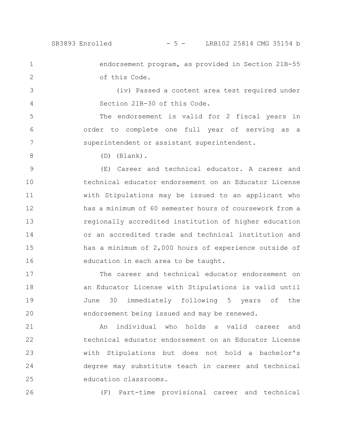1

2

5

6

7

endorsement program, as provided in Section 21B-55 of this Code.

(iv) Passed a content area test required under Section 21B-30 of this Code. 3 4

The endorsement is valid for 2 fiscal years in order to complete one full year of serving as a superintendent or assistant superintendent.

8

(D) (Blank).

(E) Career and technical educator. A career and technical educator endorsement on an Educator License with Stipulations may be issued to an applicant who has a minimum of 60 semester hours of coursework from a regionally accredited institution of higher education or an accredited trade and technical institution and has a minimum of 2,000 hours of experience outside of education in each area to be taught. 9 10 11 12 13 14 15 16

The career and technical educator endorsement on an Educator License with Stipulations is valid until June 30 immediately following 5 years of the endorsement being issued and may be renewed. 17 18 19 20

An individual who holds a valid career and technical educator endorsement on an Educator License with Stipulations but does not hold a bachelor's degree may substitute teach in career and technical education classrooms. 21 22 23 24 25

26

(F) Part-time provisional career and technical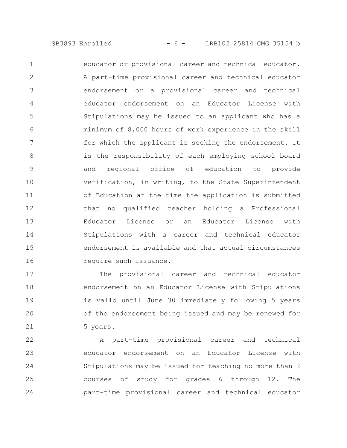educator or provisional career and technical educator. A part-time provisional career and technical educator endorsement or a provisional career and technical educator endorsement on an Educator License with Stipulations may be issued to an applicant who has a minimum of 8,000 hours of work experience in the skill for which the applicant is seeking the endorsement. It is the responsibility of each employing school board and regional office of education to provide verification, in writing, to the State Superintendent of Education at the time the application is submitted that no qualified teacher holding a Professional Educator License or an Educator License with Stipulations with a career and technical educator endorsement is available and that actual circumstances require such issuance. 1 2 3 4 5 6 7 8 9 10 11 12 13 14 15 16

The provisional career and technical educator endorsement on an Educator License with Stipulations is valid until June 30 immediately following 5 years of the endorsement being issued and may be renewed for 5 years. 17 18 19 20 21

A part-time provisional career and technical educator endorsement on an Educator License with Stipulations may be issued for teaching no more than 2 courses of study for grades 6 through 12. The part-time provisional career and technical educator 22 23 24 25 26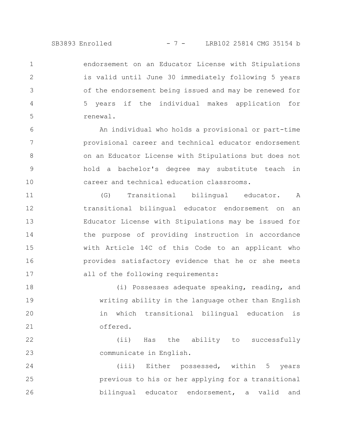endorsement on an Educator License with Stipulations is valid until June 30 immediately following 5 years of the endorsement being issued and may be renewed for 5 years if the individual makes application for renewal. 1 2 3 4 5

An individual who holds a provisional or part-time provisional career and technical educator endorsement on an Educator License with Stipulations but does not hold a bachelor's degree may substitute teach in career and technical education classrooms. 6 7 8 9 10

(G) Transitional bilingual educator. A transitional bilingual educator endorsement on an Educator License with Stipulations may be issued for the purpose of providing instruction in accordance with Article 14C of this Code to an applicant who provides satisfactory evidence that he or she meets all of the following requirements: 11 12 13 14 15 16 17

(i) Possesses adequate speaking, reading, and writing ability in the language other than English in which transitional bilingual education is offered. 18 19 20 21

(ii) Has the ability to successfully communicate in English. 22 23

(iii) Either possessed, within 5 years previous to his or her applying for a transitional bilingual educator endorsement, a valid and 24 25 26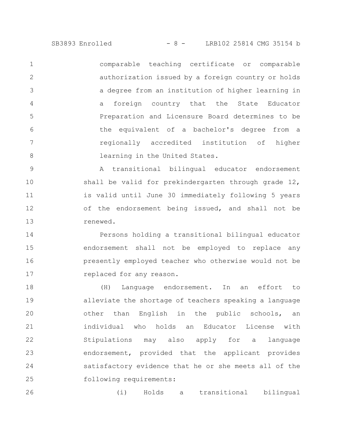SB3893 Enrolled - 8 - LRB102 25814 CMG 35154 b

comparable teaching certificate or comparable authorization issued by a foreign country or holds a degree from an institution of higher learning in a foreign country that the State Educator Preparation and Licensure Board determines to be the equivalent of a bachelor's degree from a regionally accredited institution of higher learning in the United States. 1 2 3 4 5 6 7 8

A transitional bilingual educator endorsement shall be valid for prekindergarten through grade 12, is valid until June 30 immediately following 5 years of the endorsement being issued, and shall not be renewed. 9 10 11 12 13

Persons holding a transitional bilingual educator endorsement shall not be employed to replace any presently employed teacher who otherwise would not be replaced for any reason. 14 15 16 17

(H) Language endorsement. In an effort to alleviate the shortage of teachers speaking a language other than English in the public schools, an individual who holds an Educator License with Stipulations may also apply for a language endorsement, provided that the applicant provides satisfactory evidence that he or she meets all of the following requirements: 18 19 20 21 22 23 24 25

(i) Holds a transitional bilingual 26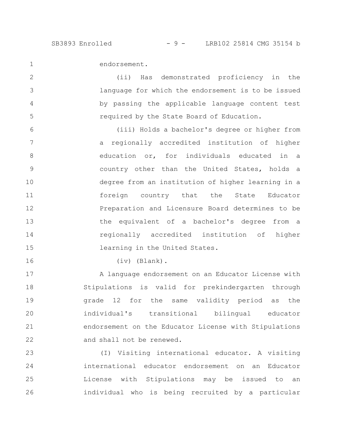1

2

3

4

5

endorsement.

(ii) Has demonstrated proficiency in the language for which the endorsement is to be issued by passing the applicable language content test required by the State Board of Education.

(iii) Holds a bachelor's degree or higher from a regionally accredited institution of higher education or, for individuals educated in a country other than the United States, holds a degree from an institution of higher learning in a foreign country that the State Educator Preparation and Licensure Board determines to be the equivalent of a bachelor's degree from a regionally accredited institution of higher learning in the United States. 6 7 8 9 10 11 12 13 14 15

16

(iv) (Blank).

A language endorsement on an Educator License with Stipulations is valid for prekindergarten through grade 12 for the same validity period as the individual's transitional bilingual educator endorsement on the Educator License with Stipulations and shall not be renewed. 17 18 19 20 21 22

(I) Visiting international educator. A visiting international educator endorsement on an Educator License with Stipulations may be issued to an individual who is being recruited by a particular 23 24 25 26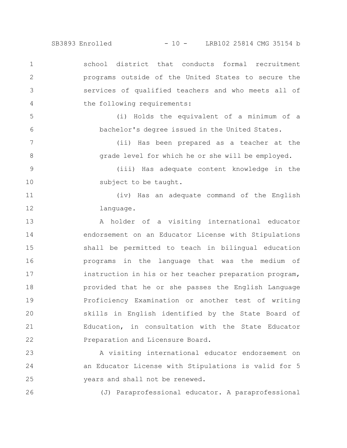SB3893 Enrolled - 10 - LRB102 25814 CMG 35154 b

school district that conducts formal recruitment programs outside of the United States to secure the services of qualified teachers and who meets all of the following requirements: 1 2 3 4

5

6

7

8

26

(i) Holds the equivalent of a minimum of a bachelor's degree issued in the United States.

> (ii) Has been prepared as a teacher at the grade level for which he or she will be employed.

(iii) Has adequate content knowledge in the subject to be taught. 9 10

(iv) Has an adequate command of the English language. 11 12

A holder of a visiting international educator endorsement on an Educator License with Stipulations shall be permitted to teach in bilingual education programs in the language that was the medium of instruction in his or her teacher preparation program, provided that he or she passes the English Language Proficiency Examination or another test of writing skills in English identified by the State Board of Education, in consultation with the State Educator Preparation and Licensure Board. 13 14 15 16 17 18 19 20 21 22

A visiting international educator endorsement on an Educator License with Stipulations is valid for 5 years and shall not be renewed. 23 24 25

(J) Paraprofessional educator. A paraprofessional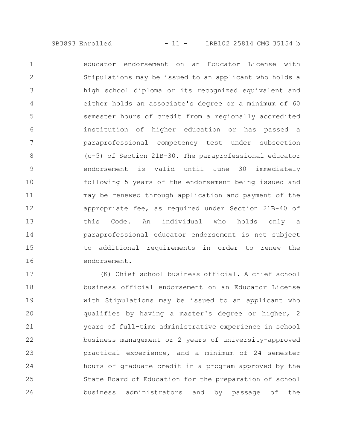educator endorsement on an Educator License with Stipulations may be issued to an applicant who holds a high school diploma or its recognized equivalent and either holds an associate's degree or a minimum of 60 semester hours of credit from a regionally accredited institution of higher education or has passed a paraprofessional competency test under subsection (c-5) of Section 21B-30. The paraprofessional educator endorsement is valid until June 30 immediately following 5 years of the endorsement being issued and may be renewed through application and payment of the appropriate fee, as required under Section 21B-40 of this Code. An individual who holds only a paraprofessional educator endorsement is not subject to additional requirements in order to renew the endorsement. 1 2 3 4 5 6 7 8 9 10 11 12 13 14 15 16

(K) Chief school business official. A chief school business official endorsement on an Educator License with Stipulations may be issued to an applicant who qualifies by having a master's degree or higher, 2 years of full-time administrative experience in school business management or 2 years of university-approved practical experience, and a minimum of 24 semester hours of graduate credit in a program approved by the State Board of Education for the preparation of school business administrators and by passage of the 17 18 19 20 21 22 23 24 25 26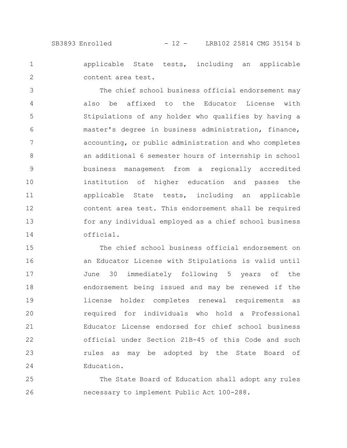SB3893 Enrolled - 12 - LRB102 25814 CMG 35154 b

applicable State tests, including an applicable content area test. 1 2

The chief school business official endorsement may also be affixed to the Educator License with Stipulations of any holder who qualifies by having a master's degree in business administration, finance, accounting, or public administration and who completes an additional 6 semester hours of internship in school business management from a regionally accredited institution of higher education and passes the applicable State tests, including an applicable content area test. This endorsement shall be required for any individual employed as a chief school business official. 3 4 5 6 7 8 9 10 11 12 13 14

The chief school business official endorsement on an Educator License with Stipulations is valid until June 30 immediately following 5 years of the endorsement being issued and may be renewed if the license holder completes renewal requirements as required for individuals who hold a Professional Educator License endorsed for chief school business official under Section 21B-45 of this Code and such rules as may be adopted by the State Board of Education. 15 16 17 18 19 20 21 22 23 24

The State Board of Education shall adopt any rules necessary to implement Public Act 100-288. 25 26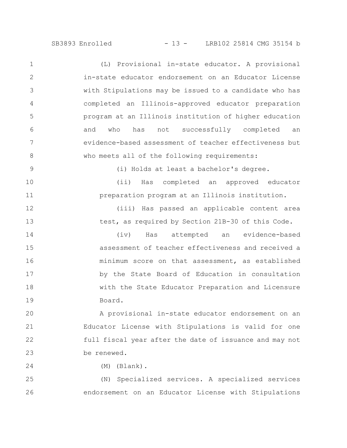SB3893 Enrolled - 13 - LRB102 25814 CMG 35154 b

(L) Provisional in-state educator. A provisional in-state educator endorsement on an Educator License with Stipulations may be issued to a candidate who has completed an Illinois-approved educator preparation program at an Illinois institution of higher education and who has not successfully completed an evidence-based assessment of teacher effectiveness but who meets all of the following requirements: (i) Holds at least a bachelor's degree. (ii) Has completed an approved educator preparation program at an Illinois institution. (iii) Has passed an applicable content area test, as required by Section 21B-30 of this Code. (iv) Has attempted an evidence-based assessment of teacher effectiveness and received a minimum score on that assessment, as established 1 2 3 4 5 6 7 8 9 10 11 12 13 14 15 16

> by the State Board of Education in consultation with the State Educator Preparation and Licensure Board.

A provisional in-state educator endorsement on an Educator License with Stipulations is valid for one full fiscal year after the date of issuance and may not be renewed. 20 21 22 23

17

18

19

24

(M) (Blank).

(N) Specialized services. A specialized services endorsement on an Educator License with Stipulations 25 26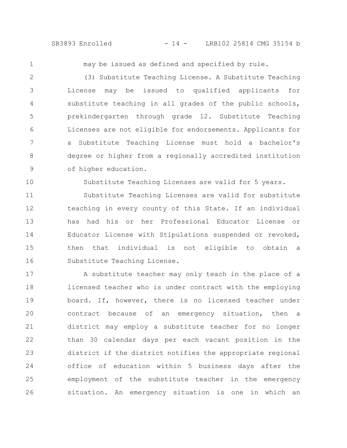SB3893 Enrolled - 14 - LRB102 25814 CMG 35154 b

1

10

may be issued as defined and specified by rule.

(3) Substitute Teaching License. A Substitute Teaching License may be issued to qualified applicants for substitute teaching in all grades of the public schools, prekindergarten through grade 12. Substitute Teaching Licenses are not eligible for endorsements. Applicants for a Substitute Teaching License must hold a bachelor's degree or higher from a regionally accredited institution of higher education. 2 3 4 5 6 7 8 9

Substitute Teaching Licenses are valid for 5 years.

Substitute Teaching Licenses are valid for substitute teaching in every county of this State. If an individual has had his or her Professional Educator License or Educator License with Stipulations suspended or revoked, then that individual is not eligible to obtain a Substitute Teaching License. 11 12 13 14 15 16

A substitute teacher may only teach in the place of a licensed teacher who is under contract with the employing board. If, however, there is no licensed teacher under contract because of an emergency situation, then a district may employ a substitute teacher for no longer than 30 calendar days per each vacant position in the district if the district notifies the appropriate regional office of education within 5 business days after the employment of the substitute teacher in the emergency situation. An emergency situation is one in which an 17 18 19 20 21 22 23 24 25 26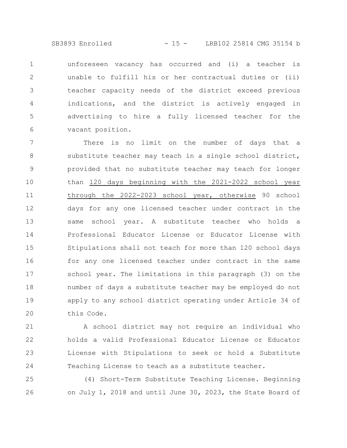SB3893 Enrolled - 15 - LRB102 25814 CMG 35154 b

unforeseen vacancy has occurred and (i) a teacher is unable to fulfill his or her contractual duties or (ii) teacher capacity needs of the district exceed previous indications, and the district is actively engaged in advertising to hire a fully licensed teacher for the vacant position. 1 2 3 4 5 6

There is no limit on the number of days that a substitute teacher may teach in a single school district, provided that no substitute teacher may teach for longer than 120 days beginning with the 2021-2022 school year through the 2022-2023 school year, otherwise 90 school days for any one licensed teacher under contract in the same school year. A substitute teacher who holds a Professional Educator License or Educator License with Stipulations shall not teach for more than 120 school days for any one licensed teacher under contract in the same school year. The limitations in this paragraph (3) on the number of days a substitute teacher may be employed do not apply to any school district operating under Article 34 of this Code. 7 8 9 10 11 12 13 14 15 16 17 18 19 20

A school district may not require an individual who holds a valid Professional Educator License or Educator License with Stipulations to seek or hold a Substitute Teaching License to teach as a substitute teacher. 21 22 23 24

(4) Short-Term Substitute Teaching License. Beginning on July 1, 2018 and until June 30, 2023, the State Board of 25 26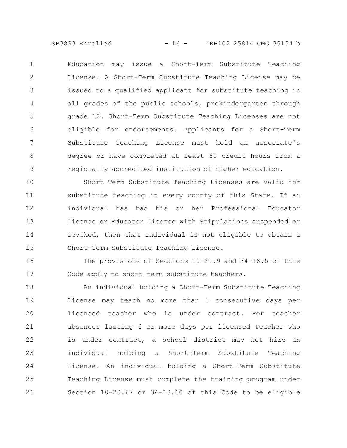SB3893 Enrolled - 16 - LRB102 25814 CMG 35154 b

Education may issue a Short-Term Substitute Teaching License. A Short-Term Substitute Teaching License may be issued to a qualified applicant for substitute teaching in all grades of the public schools, prekindergarten through grade 12. Short-Term Substitute Teaching Licenses are not eligible for endorsements. Applicants for a Short-Term Substitute Teaching License must hold an associate's degree or have completed at least 60 credit hours from a regionally accredited institution of higher education. 1 2 3 4 5 6 7 8 9

Short-Term Substitute Teaching Licenses are valid for substitute teaching in every county of this State. If an individual has had his or her Professional Educator License or Educator License with Stipulations suspended or revoked, then that individual is not eligible to obtain a Short-Term Substitute Teaching License. 10 11 12 13 14 15

The provisions of Sections 10-21.9 and 34-18.5 of this Code apply to short-term substitute teachers. 16 17

An individual holding a Short-Term Substitute Teaching License may teach no more than 5 consecutive days per licensed teacher who is under contract. For teacher absences lasting 6 or more days per licensed teacher who is under contract, a school district may not hire an individual holding a Short-Term Substitute Teaching License. An individual holding a Short-Term Substitute Teaching License must complete the training program under Section 10-20.67 or 34-18.60 of this Code to be eligible 18 19 20 21 22 23 24 25 26